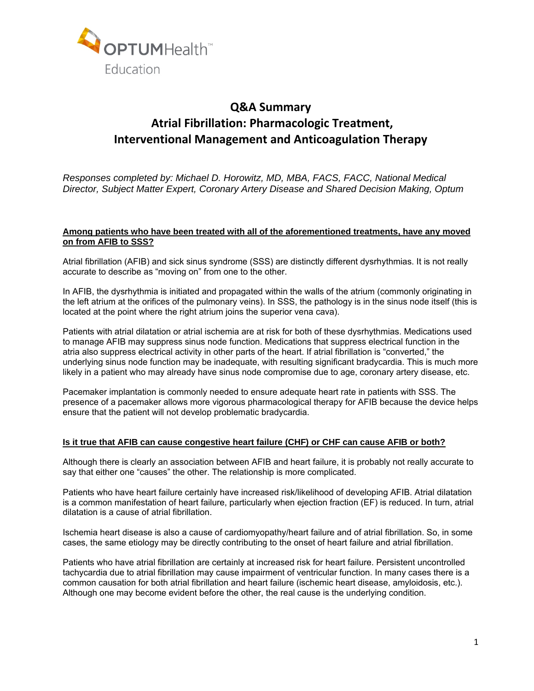

# **Q&A Summary Atrial Fibrillation: Pharmacologic Treatment, Interventional Management and Anticoagulation Therapy**

*Responses completed by: Michael D. Horowitz, MD, MBA, FACS, FACC, National Medical Director, Subject Matter Expert, Coronary Artery Disease and Shared Decision Making, Optum* 

### **Among patients who have been treated with all of the aforementioned treatments, have any moved on from AFIB to SSS?**

Atrial fibrillation (AFIB) and sick sinus syndrome (SSS) are distinctly different dysrhythmias. It is not really accurate to describe as "moving on" from one to the other.

In AFIB, the dysrhythmia is initiated and propagated within the walls of the atrium (commonly originating in the left atrium at the orifices of the pulmonary veins). In SSS, the pathology is in the sinus node itself (this is located at the point where the right atrium joins the superior vena cava).

Patients with atrial dilatation or atrial ischemia are at risk for both of these dysrhythmias. Medications used to manage AFIB may suppress sinus node function. Medications that suppress electrical function in the atria also suppress electrical activity in other parts of the heart. If atrial fibrillation is "converted," the underlying sinus node function may be inadequate, with resulting significant bradycardia. This is much more likely in a patient who may already have sinus node compromise due to age, coronary artery disease, etc.

Pacemaker implantation is commonly needed to ensure adequate heart rate in patients with SSS. The presence of a pacemaker allows more vigorous pharmacological therapy for AFIB because the device helps ensure that the patient will not develop problematic bradycardia.

### **Is it true that AFIB can cause congestive heart failure (CHF) or CHF can cause AFIB or both?**

Although there is clearly an association between AFIB and heart failure, it is probably not really accurate to say that either one "causes" the other. The relationship is more complicated.

Patients who have heart failure certainly have increased risk/likelihood of developing AFIB. Atrial dilatation is a common manifestation of heart failure, particularly when ejection fraction (EF) is reduced. In turn, atrial dilatation is a cause of atrial fibrillation.

Ischemia heart disease is also a cause of cardiomyopathy/heart failure and of atrial fibrillation. So, in some cases, the same etiology may be directly contributing to the onset of heart failure and atrial fibrillation.

Patients who have atrial fibrillation are certainly at increased risk for heart failure. Persistent uncontrolled tachycardia due to atrial fibrillation may cause impairment of ventricular function. In many cases there is a common causation for both atrial fibrillation and heart failure (ischemic heart disease, amyloidosis, etc.). Although one may become evident before the other, the real cause is the underlying condition.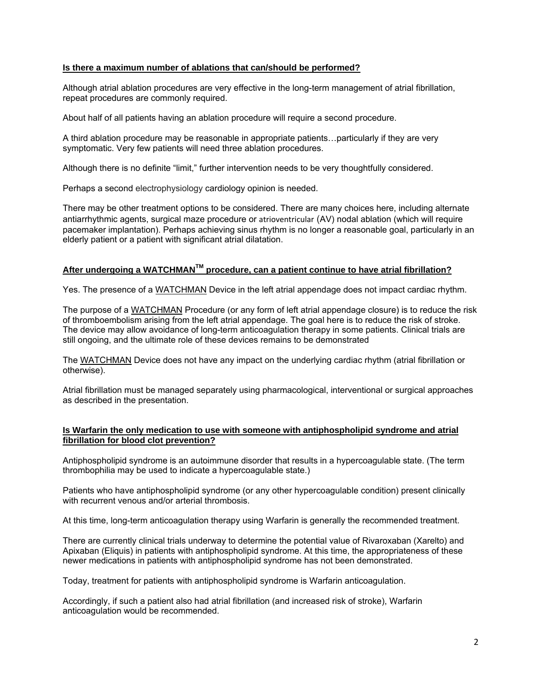# **Is there a maximum number of ablations that can/should be performed?**

Although atrial ablation procedures are very effective in the long-term management of atrial fibrillation, repeat procedures are commonly required.

About half of all patients having an ablation procedure will require a second procedure.

A third ablation procedure may be reasonable in appropriate patients…particularly if they are very symptomatic. Very few patients will need three ablation procedures.

Although there is no definite "limit," further intervention needs to be very thoughtfully considered.

Perhaps a second electrophysiology cardiology opinion is needed.

There may be other treatment options to be considered. There are many choices here, including alternate antiarrhythmic agents, surgical maze procedure or atrioventricular (AV) nodal ablation (which will require pacemaker implantation). Perhaps achieving sinus rhythm is no longer a reasonable goal, particularly in an elderly patient or a patient with significant atrial dilatation.

# **After undergoing a WATCHMANTM procedure, can a patient continue to have atrial fibrillation?**

Yes. The presence of a WATCHMAN Device in the left atrial appendage does not impact cardiac rhythm.

The purpose of a WATCHMAN Procedure (or any form of left atrial appendage closure) is to reduce the risk of thromboembolism arising from the left atrial appendage. The goal here is to reduce the risk of stroke. The device may allow avoidance of long-term anticoagulation therapy in some patients. Clinical trials are still ongoing, and the ultimate role of these devices remains to be demonstrated

The WATCHMAN Device does not have any impact on the underlying cardiac rhythm (atrial fibrillation or otherwise).

Atrial fibrillation must be managed separately using pharmacological, interventional or surgical approaches as described in the presentation.

# **Is Warfarin the only medication to use with someone with antiphospholipid syndrome and atrial fibrillation for blood clot prevention?**

Antiphospholipid syndrome is an autoimmune disorder that results in a hypercoagulable state. (The term thrombophilia may be used to indicate a hypercoagulable state.)

Patients who have antiphospholipid syndrome (or any other hypercoagulable condition) present clinically with recurrent venous and/or arterial thrombosis.

At this time, long-term anticoagulation therapy using Warfarin is generally the recommended treatment.

There are currently clinical trials underway to determine the potential value of Rivaroxaban (Xarelto) and Apixaban (Eliquis) in patients with antiphospholipid syndrome. At this time, the appropriateness of these newer medications in patients with antiphospholipid syndrome has not been demonstrated.

Today, treatment for patients with antiphospholipid syndrome is Warfarin anticoagulation.

Accordingly, if such a patient also had atrial fibrillation (and increased risk of stroke), Warfarin anticoagulation would be recommended.